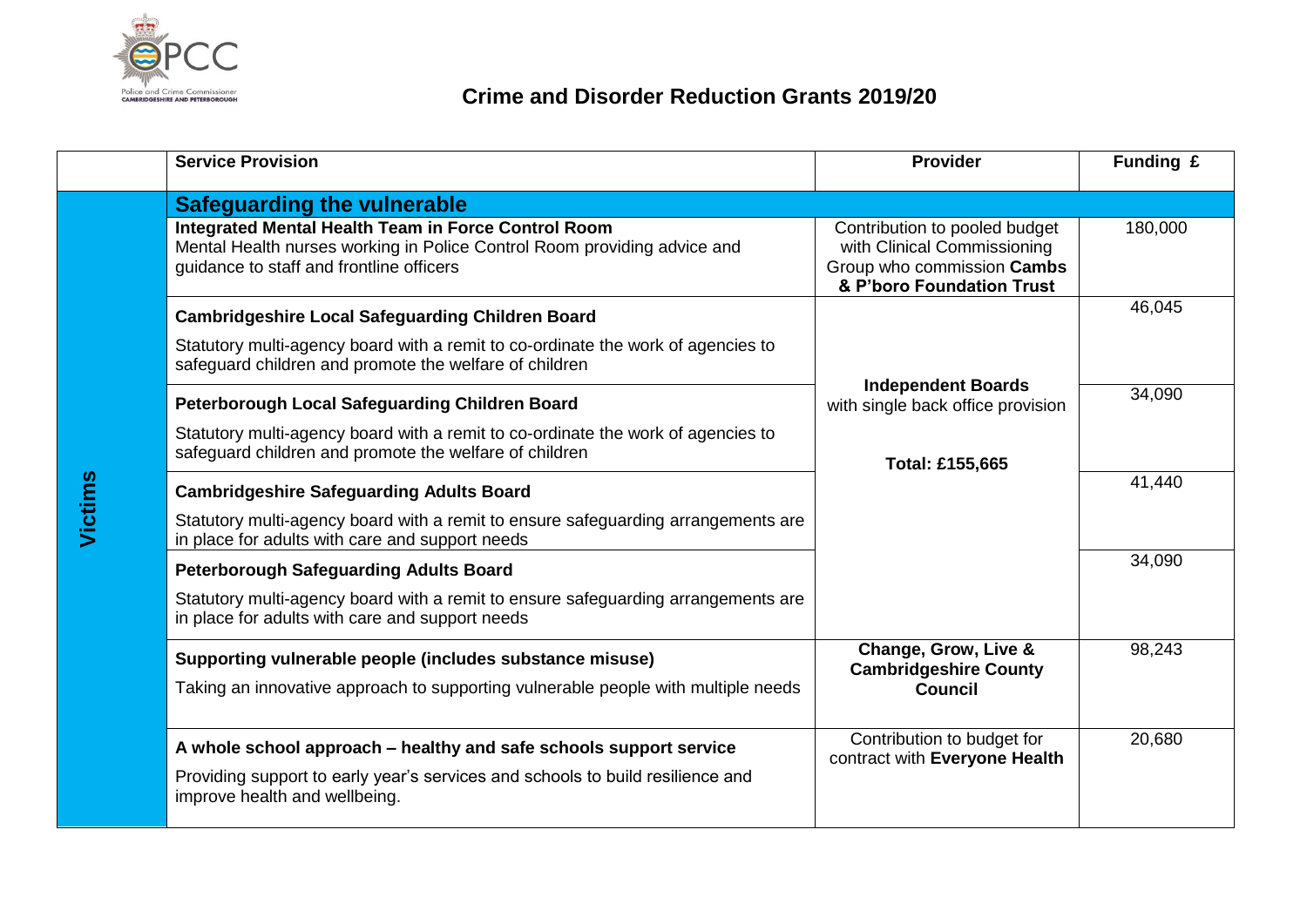

## **Crime and Disorder Reduction Grants 2019/20**

|         | <b>Service Provision</b>                                                                                                                                                              | Provider                                                                                                                | Funding £ |
|---------|---------------------------------------------------------------------------------------------------------------------------------------------------------------------------------------|-------------------------------------------------------------------------------------------------------------------------|-----------|
|         | <b>Safeguarding the vulnerable</b>                                                                                                                                                    |                                                                                                                         |           |
| Victims | <b>Integrated Mental Health Team in Force Control Room</b><br>Mental Health nurses working in Police Control Room providing advice and<br>guidance to staff and frontline officers    | Contribution to pooled budget<br>with Clinical Commissioning<br>Group who commission Cambs<br>& P'boro Foundation Trust | 180,000   |
|         | <b>Cambridgeshire Local Safeguarding Children Board</b>                                                                                                                               |                                                                                                                         | 46,045    |
|         | Statutory multi-agency board with a remit to co-ordinate the work of agencies to<br>safeguard children and promote the welfare of children                                            |                                                                                                                         |           |
|         | Peterborough Local Safeguarding Children Board                                                                                                                                        | <b>Independent Boards</b><br>with single back office provision                                                          | 34,090    |
|         | Statutory multi-agency board with a remit to co-ordinate the work of agencies to<br>safeguard children and promote the welfare of children                                            | Total: £155,665                                                                                                         |           |
|         | <b>Cambridgeshire Safeguarding Adults Board</b>                                                                                                                                       |                                                                                                                         | 41,440    |
|         | Statutory multi-agency board with a remit to ensure safeguarding arrangements are<br>in place for adults with care and support needs                                                  |                                                                                                                         |           |
|         | <b>Peterborough Safeguarding Adults Board</b>                                                                                                                                         |                                                                                                                         | 34,090    |
|         | Statutory multi-agency board with a remit to ensure safeguarding arrangements are<br>in place for adults with care and support needs                                                  |                                                                                                                         |           |
|         | Supporting vulnerable people (includes substance misuse)                                                                                                                              | Change, Grow, Live &<br><b>Cambridgeshire County</b>                                                                    | 98,243    |
|         | Taking an innovative approach to supporting vulnerable people with multiple needs                                                                                                     | <b>Council</b>                                                                                                          |           |
|         | A whole school approach – healthy and safe schools support service<br>Providing support to early year's services and schools to build resilience and<br>improve health and wellbeing. | Contribution to budget for<br>contract with Everyone Health                                                             | 20,680    |
|         |                                                                                                                                                                                       |                                                                                                                         |           |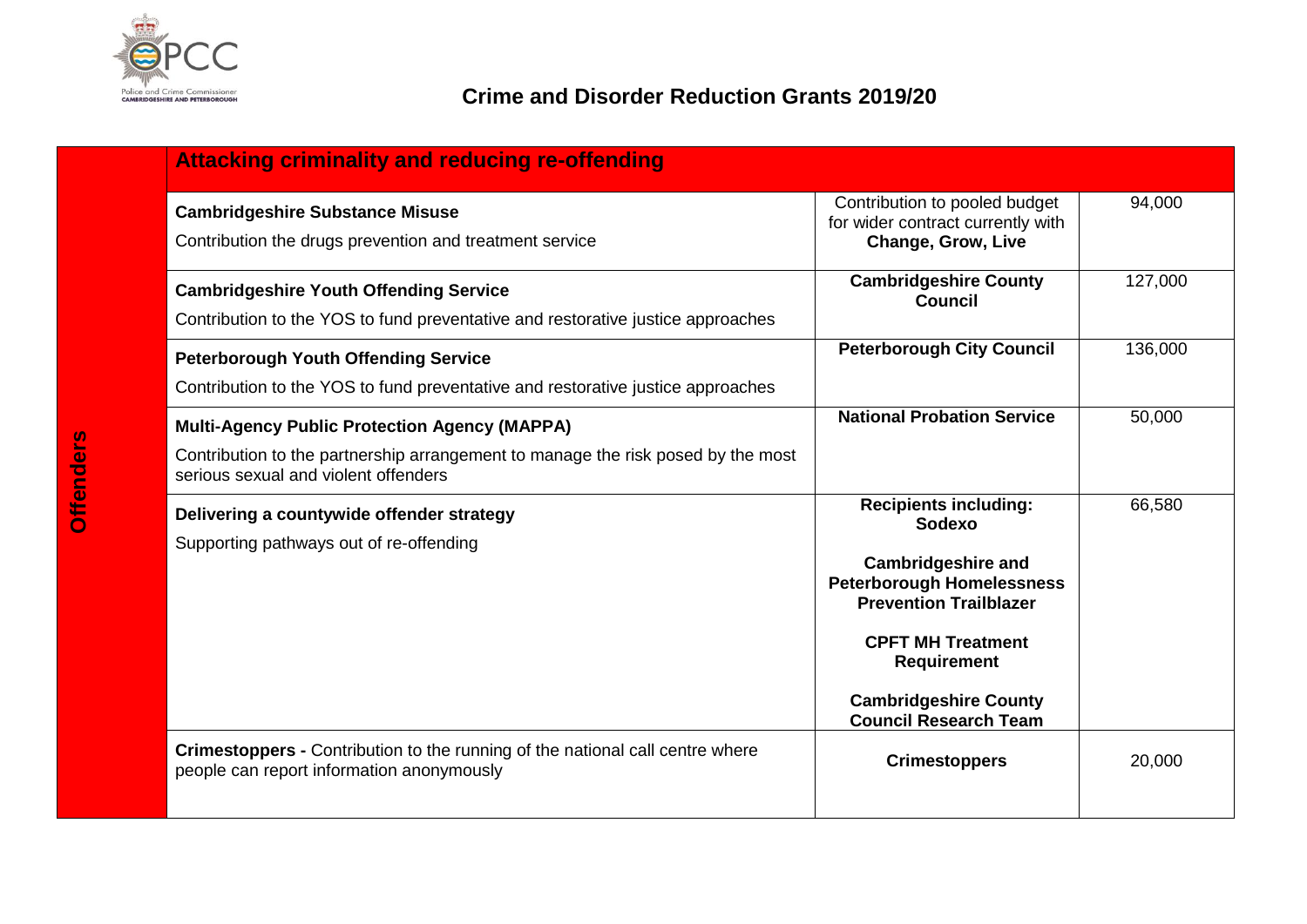

| <b>Attacking criminality and reducing re-offending</b>                                                                                                                           |                                                                                                                                                                                                                                                            |         |
|----------------------------------------------------------------------------------------------------------------------------------------------------------------------------------|------------------------------------------------------------------------------------------------------------------------------------------------------------------------------------------------------------------------------------------------------------|---------|
| <b>Cambridgeshire Substance Misuse</b><br>Contribution the drugs prevention and treatment service                                                                                | Contribution to pooled budget<br>for wider contract currently with<br><b>Change, Grow, Live</b>                                                                                                                                                            | 94,000  |
| <b>Cambridgeshire Youth Offending Service</b><br>Contribution to the YOS to fund preventative and restorative justice approaches                                                 | <b>Cambridgeshire County</b><br><b>Council</b>                                                                                                                                                                                                             | 127,000 |
| <b>Peterborough Youth Offending Service</b><br>Contribution to the YOS to fund preventative and restorative justice approaches                                                   | <b>Peterborough City Council</b>                                                                                                                                                                                                                           | 136,000 |
| <b>Multi-Agency Public Protection Agency (MAPPA)</b><br>Contribution to the partnership arrangement to manage the risk posed by the most<br>serious sexual and violent offenders | <b>National Probation Service</b>                                                                                                                                                                                                                          | 50,000  |
| Delivering a countywide offender strategy<br>Supporting pathways out of re-offending                                                                                             | <b>Recipients including:</b><br>Sodexo<br><b>Cambridgeshire and</b><br><b>Peterborough Homelessness</b><br><b>Prevention Trailblazer</b><br><b>CPFT MH Treatment</b><br><b>Requirement</b><br><b>Cambridgeshire County</b><br><b>Council Research Team</b> | 66,580  |
| Crimestoppers - Contribution to the running of the national call centre where<br>people can report information anonymously                                                       | <b>Crimestoppers</b>                                                                                                                                                                                                                                       | 20,000  |